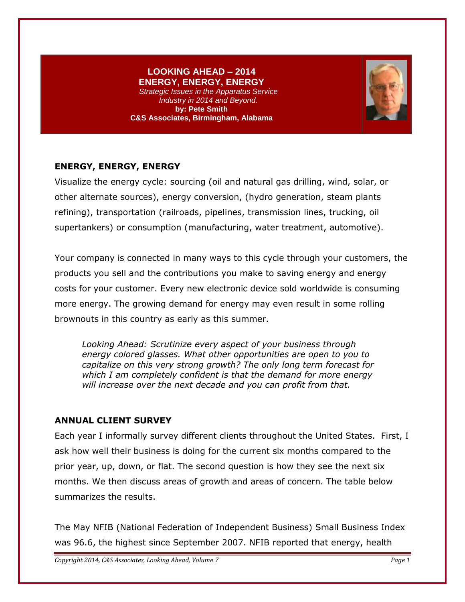# **LOOKING AHEAD – 2014 ENERGY, ENERGY, ENERGY**

*Strategic Issues in the Apparatus Service Industry in 2014 and Beyond.* **by: Pete Smith C&S Associates, Birmingham, Alabama**



# **ENERGY, ENERGY, ENERGY**

Visualize the energy cycle: sourcing (oil and natural gas drilling, wind, solar, or other alternate sources), energy conversion, (hydro generation, steam plants refining), transportation (railroads, pipelines, transmission lines, trucking, oil supertankers) or consumption (manufacturing, water treatment, automotive).

Your company is connected in many ways to this cycle through your customers, the products you sell and the contributions you make to saving energy and energy costs for your customer. Every new electronic device sold worldwide is consuming more energy. The growing demand for energy may even result in some rolling brownouts in this country as early as this summer.

*Looking Ahead: Scrutinize every aspect of your business through energy colored glasses. What other opportunities are open to you to capitalize on this very strong growth? The only long term forecast for which I am completely confident is that the demand for more energy will increase over the next decade and you can profit from that.* 

#### **ANNUAL CLIENT SURVEY**

Each year I informally survey different clients throughout the United States. First, I ask how well their business is doing for the current six months compared to the prior year, up, down, or flat. The second question is how they see the next six months. We then discuss areas of growth and areas of concern. The table below summarizes the results.

The May NFIB (National Federation of Independent Business) Small Business Index was 96.6, the highest since September 2007. NFIB reported that energy, health

*Copyright 2014, C&S Associates, Looking Ahead, Volume 7 Page 1*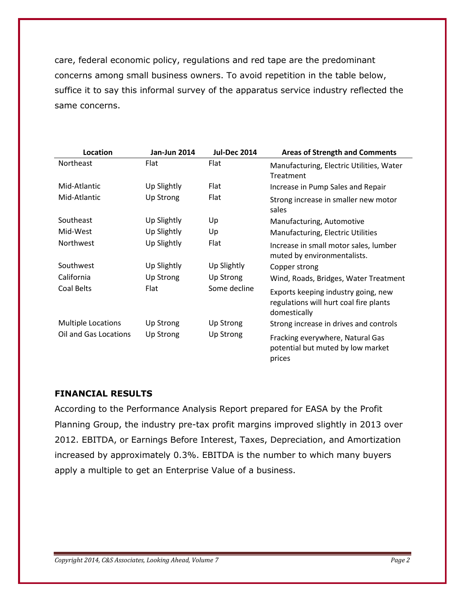care, federal economic policy, regulations and red tape are the predominant concerns among small business owners. To avoid repetition in the table below, suffice it to say this informal survey of the apparatus service industry reflected the same concerns.

| Location                  | <b>Jan-Jun 2014</b> | <b>Jul-Dec 2014</b> | <b>Areas of Strength and Comments</b>                                                         |
|---------------------------|---------------------|---------------------|-----------------------------------------------------------------------------------------------|
| <b>Northeast</b>          | Flat                | Flat                | Manufacturing, Electric Utilities, Water<br>Treatment                                         |
| Mid-Atlantic              | Up Slightly         | Flat                | Increase in Pump Sales and Repair                                                             |
| Mid-Atlantic              | <b>Up Strong</b>    | Flat                | Strong increase in smaller new motor<br>sales                                                 |
| Southeast                 | Up Slightly         | Up                  | Manufacturing, Automotive                                                                     |
| Mid-West                  | Up Slightly         | Up                  | Manufacturing, Electric Utilities                                                             |
| Northwest                 | Up Slightly         | Flat                | Increase in small motor sales, lumber<br>muted by environmentalists.                          |
| Southwest                 | Up Slightly         | Up Slightly         | Copper strong                                                                                 |
| California                | <b>Up Strong</b>    | <b>Up Strong</b>    | Wind, Roads, Bridges, Water Treatment                                                         |
| Coal Belts                | Flat                | Some decline        | Exports keeping industry going, new<br>regulations will hurt coal fire plants<br>domestically |
| <b>Multiple Locations</b> | Up Strong           | Up Strong           | Strong increase in drives and controls                                                        |
| Oil and Gas Locations     | <b>Up Strong</b>    | Up Strong           | Fracking everywhere, Natural Gas<br>potential but muted by low market<br>prices               |

#### **FINANCIAL RESULTS**

According to the Performance Analysis Report prepared for EASA by the Profit Planning Group, the industry pre-tax profit margins improved slightly in 2013 over 2012. EBITDA, or Earnings Before Interest, Taxes, Depreciation, and Amortization increased by approximately 0.3%. EBITDA is the number to which many buyers apply a multiple to get an Enterprise Value of a business.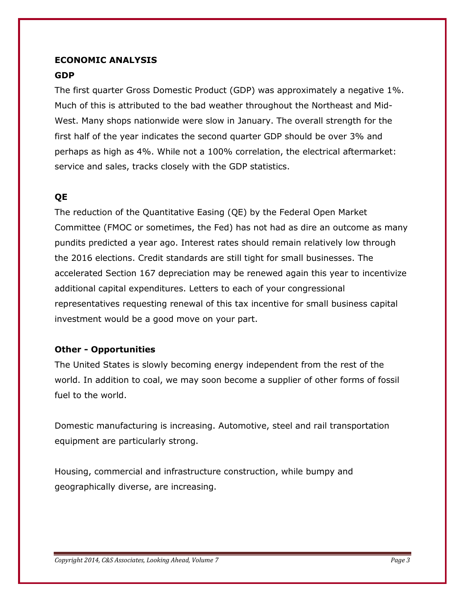# **ECONOMIC ANALYSIS GDP**

The first quarter Gross Domestic Product (GDP) was approximately a negative 1%. Much of this is attributed to the bad weather throughout the Northeast and Mid-West. Many shops nationwide were slow in January. The overall strength for the first half of the year indicates the second quarter GDP should be over 3% and perhaps as high as 4%. While not a 100% correlation, the electrical aftermarket: service and sales, tracks closely with the GDP statistics.

# **QE**

The reduction of the Quantitative Easing (QE) by the Federal Open Market Committee (FMOC or sometimes, the Fed) has not had as dire an outcome as many pundits predicted a year ago. Interest rates should remain relatively low through the 2016 elections. Credit standards are still tight for small businesses. The accelerated Section 167 depreciation may be renewed again this year to incentivize additional capital expenditures. Letters to each of your congressional representatives requesting renewal of this tax incentive for small business capital investment would be a good move on your part.

# **Other - Opportunities**

The United States is slowly becoming energy independent from the rest of the world. In addition to coal, we may soon become a supplier of other forms of fossil fuel to the world.

Domestic manufacturing is increasing. Automotive, steel and rail transportation equipment are particularly strong.

Housing, commercial and infrastructure construction, while bumpy and geographically diverse, are increasing.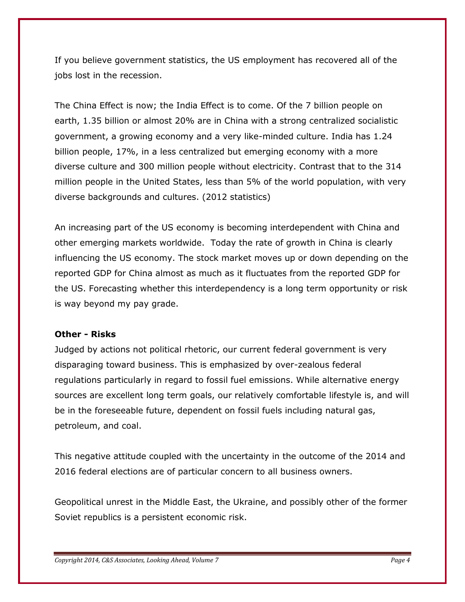If you believe government statistics, the US employment has recovered all of the jobs lost in the recession.

The China Effect is now; the India Effect is to come. Of the 7 billion people on earth, 1.35 billion or almost 20% are in China with a strong centralized socialistic government, a growing economy and a very like-minded culture. India has 1.24 billion people, 17%, in a less centralized but emerging economy with a more diverse culture and 300 million people without electricity. Contrast that to the 314 million people in the United States, less than 5% of the world population, with very diverse backgrounds and cultures. (2012 statistics)

An increasing part of the US economy is becoming interdependent with China and other emerging markets worldwide. Today the rate of growth in China is clearly influencing the US economy. The stock market moves up or down depending on the reported GDP for China almost as much as it fluctuates from the reported GDP for the US. Forecasting whether this interdependency is a long term opportunity or risk is way beyond my pay grade.

#### **Other - Risks**

Judged by actions not political rhetoric, our current federal government is very disparaging toward business. This is emphasized by over-zealous federal regulations particularly in regard to fossil fuel emissions. While alternative energy sources are excellent long term goals, our relatively comfortable lifestyle is, and will be in the foreseeable future, dependent on fossil fuels including natural gas, petroleum, and coal.

This negative attitude coupled with the uncertainty in the outcome of the 2014 and 2016 federal elections are of particular concern to all business owners.

Geopolitical unrest in the Middle East, the Ukraine, and possibly other of the former Soviet republics is a persistent economic risk.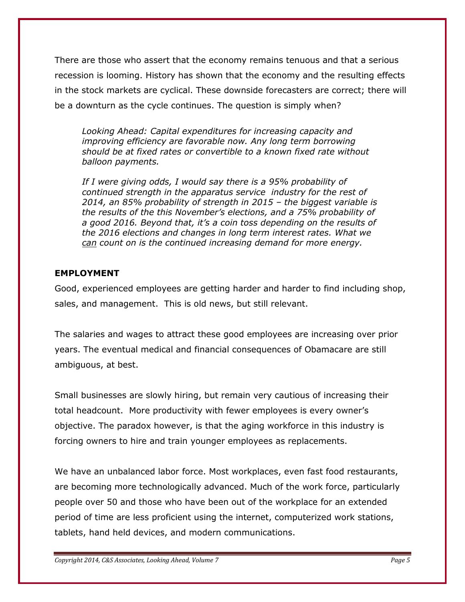There are those who assert that the economy remains tenuous and that a serious recession is looming. History has shown that the economy and the resulting effects in the stock markets are cyclical. These downside forecasters are correct; there will be a downturn as the cycle continues. The question is simply when?

*Looking Ahead: Capital expenditures for increasing capacity and improving efficiency are favorable now. Any long term borrowing should be at fixed rates or convertible to a known fixed rate without balloon payments.* 

*If I were giving odds, I would say there is a 95% probability of continued strength in the apparatus service industry for the rest of 2014, an 85% probability of strength in 2015 – the biggest variable is the results of the this November's elections, and a 75% probability of a good 2016. Beyond that, it's a coin toss depending on the results of the 2016 elections and changes in long term interest rates. What we can count on is the continued increasing demand for more energy.*

#### **EMPLOYMENT**

Good, experienced employees are getting harder and harder to find including shop, sales, and management. This is old news, but still relevant.

The salaries and wages to attract these good employees are increasing over prior years. The eventual medical and financial consequences of Obamacare are still ambiguous, at best.

Small businesses are slowly hiring, but remain very cautious of increasing their total headcount. More productivity with fewer employees is every owner's objective. The paradox however, is that the aging workforce in this industry is forcing owners to hire and train younger employees as replacements.

We have an unbalanced labor force. Most workplaces, even fast food restaurants, are becoming more technologically advanced. Much of the work force, particularly people over 50 and those who have been out of the workplace for an extended period of time are less proficient using the internet, computerized work stations, tablets, hand held devices, and modern communications.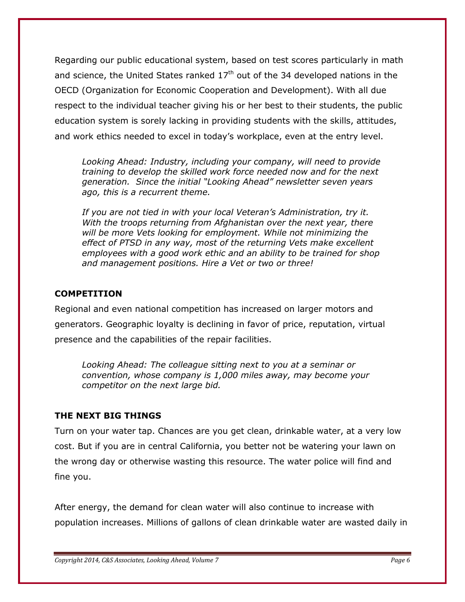Regarding our public educational system, based on test scores particularly in math and science, the United States ranked  $17<sup>th</sup>$  out of the 34 developed nations in the OECD (Organization for Economic Cooperation and Development). With all due respect to the individual teacher giving his or her best to their students, the public education system is sorely lacking in providing students with the skills, attitudes, and work ethics needed to excel in today's workplace, even at the entry level.

*Looking Ahead: Industry, including your company, will need to provide training to develop the skilled work force needed now and for the next generation. Since the initial "Looking Ahead" newsletter seven years ago, this is a recurrent theme.*

*If you are not tied in with your local Veteran's Administration, try it. With the troops returning from Afghanistan over the next year, there will be more Vets looking for employment. While not minimizing the effect of PTSD in any way, most of the returning Vets make excellent employees with a good work ethic and an ability to be trained for shop and management positions. Hire a Vet or two or three!* 

#### **COMPETITION**

Regional and even national competition has increased on larger motors and generators. Geographic loyalty is declining in favor of price, reputation, virtual presence and the capabilities of the repair facilities.

*Looking Ahead: The colleague sitting next to you at a seminar or convention, whose company is 1,000 miles away, may become your competitor on the next large bid.*

#### **THE NEXT BIG THINGS**

Turn on your water tap. Chances are you get clean, drinkable water, at a very low cost. But if you are in central California, you better not be watering your lawn on the wrong day or otherwise wasting this resource. The water police will find and fine you.

After energy, the demand for clean water will also continue to increase with population increases. Millions of gallons of clean drinkable water are wasted daily in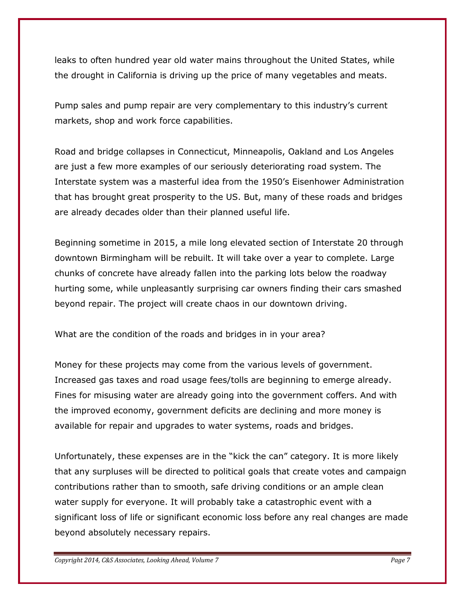leaks to often hundred year old water mains throughout the United States, while the drought in California is driving up the price of many vegetables and meats.

Pump sales and pump repair are very complementary to this industry's current markets, shop and work force capabilities.

Road and bridge collapses in Connecticut, Minneapolis, Oakland and Los Angeles are just a few more examples of our seriously deteriorating road system. The Interstate system was a masterful idea from the 1950's Eisenhower Administration that has brought great prosperity to the US. But, many of these roads and bridges are already decades older than their planned useful life.

Beginning sometime in 2015, a mile long elevated section of Interstate 20 through downtown Birmingham will be rebuilt. It will take over a year to complete. Large chunks of concrete have already fallen into the parking lots below the roadway hurting some, while unpleasantly surprising car owners finding their cars smashed beyond repair. The project will create chaos in our downtown driving.

What are the condition of the roads and bridges in in your area?

Money for these projects may come from the various levels of government. Increased gas taxes and road usage fees/tolls are beginning to emerge already. Fines for misusing water are already going into the government coffers. And with the improved economy, government deficits are declining and more money is available for repair and upgrades to water systems, roads and bridges.

Unfortunately, these expenses are in the "kick the can" category. It is more likely that any surpluses will be directed to political goals that create votes and campaign contributions rather than to smooth, safe driving conditions or an ample clean water supply for everyone. It will probably take a catastrophic event with a significant loss of life or significant economic loss before any real changes are made beyond absolutely necessary repairs.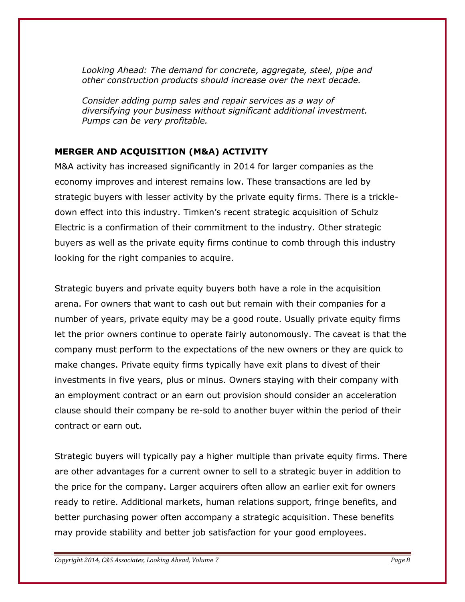*Looking Ahead: The demand for concrete, aggregate, steel, pipe and other construction products should increase over the next decade.* 

*Consider adding pump sales and repair services as a way of diversifying your business without significant additional investment. Pumps can be very profitable.*

# **MERGER AND ACQUISITION (M&A) ACTIVITY**

M&A activity has increased significantly in 2014 for larger companies as the economy improves and interest remains low. These transactions are led by strategic buyers with lesser activity by the private equity firms. There is a trickledown effect into this industry. Timken's recent strategic acquisition of Schulz Electric is a confirmation of their commitment to the industry. Other strategic buyers as well as the private equity firms continue to comb through this industry looking for the right companies to acquire.

Strategic buyers and private equity buyers both have a role in the acquisition arena. For owners that want to cash out but remain with their companies for a number of years, private equity may be a good route. Usually private equity firms let the prior owners continue to operate fairly autonomously. The caveat is that the company must perform to the expectations of the new owners or they are quick to make changes. Private equity firms typically have exit plans to divest of their investments in five years, plus or minus. Owners staying with their company with an employment contract or an earn out provision should consider an acceleration clause should their company be re-sold to another buyer within the period of their contract or earn out.

Strategic buyers will typically pay a higher multiple than private equity firms. There are other advantages for a current owner to sell to a strategic buyer in addition to the price for the company. Larger acquirers often allow an earlier exit for owners ready to retire. Additional markets, human relations support, fringe benefits, and better purchasing power often accompany a strategic acquisition. These benefits may provide stability and better job satisfaction for your good employees.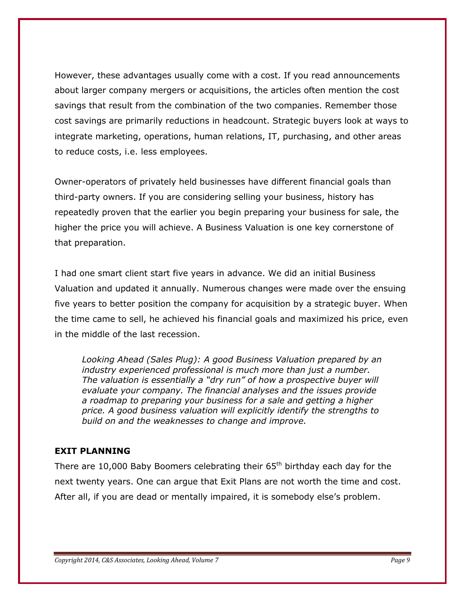However, these advantages usually come with a cost. If you read announcements about larger company mergers or acquisitions, the articles often mention the cost savings that result from the combination of the two companies. Remember those cost savings are primarily reductions in headcount. Strategic buyers look at ways to integrate marketing, operations, human relations, IT, purchasing, and other areas to reduce costs, i.e. less employees.

Owner-operators of privately held businesses have different financial goals than third-party owners. If you are considering selling your business, history has repeatedly proven that the earlier you begin preparing your business for sale, the higher the price you will achieve. A Business Valuation is one key cornerstone of that preparation.

I had one smart client start five years in advance. We did an initial Business Valuation and updated it annually. Numerous changes were made over the ensuing five years to better position the company for acquisition by a strategic buyer. When the time came to sell, he achieved his financial goals and maximized his price, even in the middle of the last recession.

*Looking Ahead (Sales Plug): A good Business Valuation prepared by an industry experienced professional is much more than just a number. The valuation is essentially a "dry run" of how a prospective buyer will evaluate your company. The financial analyses and the issues provide a roadmap to preparing your business for a sale and getting a higher price. A good business valuation will explicitly identify the strengths to build on and the weaknesses to change and improve.* 

# **EXIT PLANNING**

There are 10,000 Baby Boomers celebrating their  $65<sup>th</sup>$  birthday each day for the next twenty years. One can argue that Exit Plans are not worth the time and cost. After all, if you are dead or mentally impaired, it is somebody else's problem.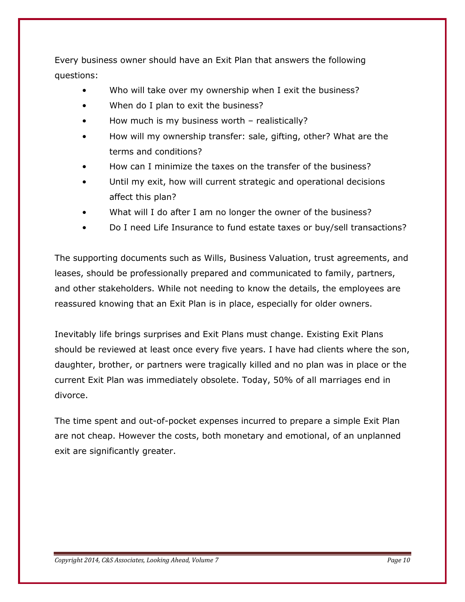Every business owner should have an Exit Plan that answers the following questions:

- Who will take over my ownership when I exit the business?
- When do I plan to exit the business?
- How much is my business worth realistically?
- How will my ownership transfer: sale, gifting, other? What are the terms and conditions?
- How can I minimize the taxes on the transfer of the business?
- Until my exit, how will current strategic and operational decisions affect this plan?
- What will I do after I am no longer the owner of the business?
- Do I need Life Insurance to fund estate taxes or buy/sell transactions?

The supporting documents such as Wills, Business Valuation, trust agreements, and leases, should be professionally prepared and communicated to family, partners, and other stakeholders. While not needing to know the details, the employees are reassured knowing that an Exit Plan is in place, especially for older owners.

Inevitably life brings surprises and Exit Plans must change. Existing Exit Plans should be reviewed at least once every five years. I have had clients where the son, daughter, brother, or partners were tragically killed and no plan was in place or the current Exit Plan was immediately obsolete. Today, 50% of all marriages end in divorce.

The time spent and out-of-pocket expenses incurred to prepare a simple Exit Plan are not cheap. However the costs, both monetary and emotional, of an unplanned exit are significantly greater.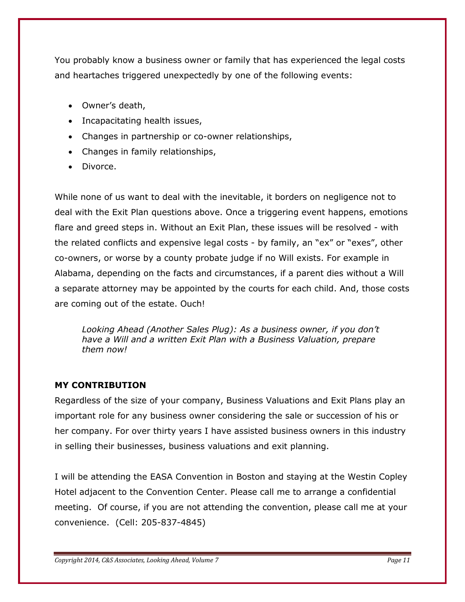You probably know a business owner or family that has experienced the legal costs and heartaches triggered unexpectedly by one of the following events:

- Owner's death,
- Incapacitating health issues,
- Changes in partnership or co-owner relationships,
- Changes in family relationships,
- Divorce.

While none of us want to deal with the inevitable, it borders on negligence not to deal with the Exit Plan questions above. Once a triggering event happens, emotions flare and greed steps in. Without an Exit Plan, these issues will be resolved - with the related conflicts and expensive legal costs - by family, an "ex" or "exes", other co-owners, or worse by a county probate judge if no Will exists. For example in Alabama, depending on the facts and circumstances, if a parent dies without a Will a separate attorney may be appointed by the courts for each child. And, those costs are coming out of the estate. Ouch!

*Looking Ahead (Another Sales Plug): As a business owner, if you don't have a Will and a written Exit Plan with a Business Valuation, prepare them now!*

# **MY CONTRIBUTION**

Regardless of the size of your company, Business Valuations and Exit Plans play an important role for any business owner considering the sale or succession of his or her company. For over thirty years I have assisted business owners in this industry in selling their businesses, business valuations and exit planning.

I will be attending the EASA Convention in Boston and staying at the Westin Copley Hotel adjacent to the Convention Center. Please call me to arrange a confidential meeting. Of course, if you are not attending the convention, please call me at your convenience. (Cell: 205-837-4845)